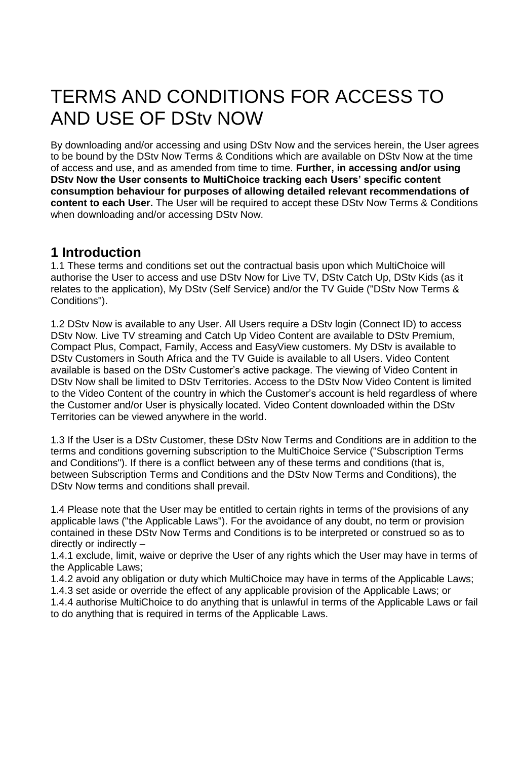# TERMS AND CONDITIONS FOR ACCESS TO AND USE OF DStv NOW

By downloading and/or accessing and using DStv Now and the services herein, the User agrees to be bound by the DStv Now Terms & Conditions which are available on DStv Now at the time of access and use, and as amended from time to time. **Further, in accessing and/or using DStv Now the User consents to MultiChoice tracking each Users' specific content consumption behaviour for purposes of allowing detailed relevant recommendations of content to each User.** The User will be required to accept these DStv Now Terms & Conditions when downloading and/or accessing DStv Now.

### **1 Introduction**

1.1 These terms and conditions set out the contractual basis upon which MultiChoice will authorise the User to access and use DStv Now for Live TV, DStv Catch Up, DStv Kids (as it relates to the application), My DStv (Self Service) and/or the TV Guide ("DStv Now Terms & Conditions").

1.2 DStv Now is available to any User. All Users require a DStv login (Connect ID) to access DStv Now. Live TV streaming and Catch Up Video Content are available to DStv Premium, Compact Plus, Compact, Family, Access and EasyView customers. My DStv is available to DStv Customers in South Africa and the TV Guide is available to all Users. Video Content available is based on the DStv Customer's active package. The viewing of Video Content in DStv Now shall be limited to DStv Territories. Access to the DStv Now Video Content is limited to the Video Content of the country in which the Customer's account is held regardless of where the Customer and/or User is physically located. Video Content downloaded within the DStv Territories can be viewed anywhere in the world.

1.3 If the User is a DStv Customer, these DStv Now Terms and Conditions are in addition to the terms and conditions governing subscription to the MultiChoice Service ("Subscription Terms and Conditions"). If there is a conflict between any of these terms and conditions (that is, between Subscription Terms and Conditions and the DStv Now Terms and Conditions), the DStv Now terms and conditions shall prevail.

1.4 Please note that the User may be entitled to certain rights in terms of the provisions of any applicable laws ("the Applicable Laws"). For the avoidance of any doubt, no term or provision contained in these DStv Now Terms and Conditions is to be interpreted or construed so as to directly or indirectly –

1.4.1 exclude, limit, waive or deprive the User of any rights which the User may have in terms of the Applicable Laws;

1.4.2 avoid any obligation or duty which MultiChoice may have in terms of the Applicable Laws;

1.4.3 set aside or override the effect of any applicable provision of the Applicable Laws; or 1.4.4 authorise MultiChoice to do anything that is unlawful in terms of the Applicable Laws or fail

to do anything that is required in terms of the Applicable Laws.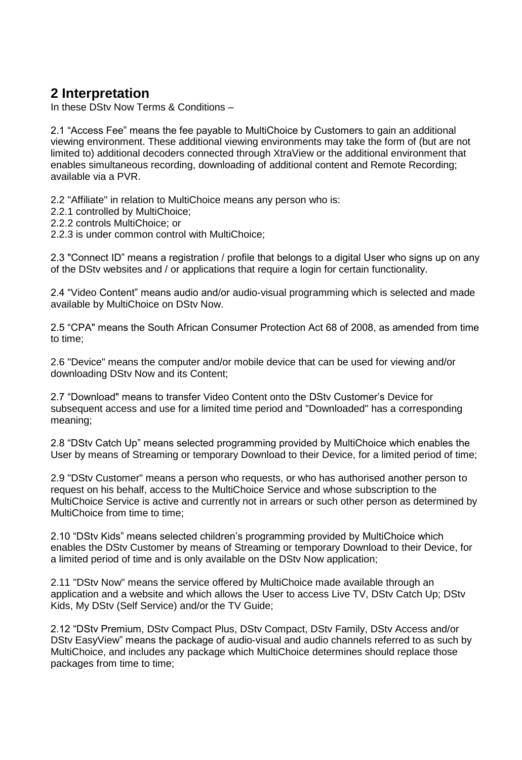### **2 Interpretation**

In these DStv Now Terms & Conditions –

2.1 "Access Fee" means the fee payable to MultiChoice by Customers to gain an additional viewing environment. These additional viewing environments may take the form of (but are not limited to) additional decoders connected through XtraView or the additional environment that enables simultaneous recording, downloading of additional content and Remote Recording; available via a PVR.

2.2 "Affiliate" in relation to MultiChoice means any person who is:

- 2.2.1 controlled by MultiChoice;
- 2.2.2 controls MultiChoice; or
- 2.2.3 is under common control with MultiChoice;

2.3 "Connect ID" means a registration / profile that belongs to a digital User who signs up on any of the DStv websites and / or applications that require a login for certain functionality.

2.4 "Video Content" means audio and/or audio-visual programming which is selected and made available by MultiChoice on DStv Now.

2.5 "CPA" means the South African Consumer Protection Act 68 of 2008, as amended from time to time;

2.6 "Device" means the computer and/or mobile device that can be used for viewing and/or downloading DStv Now and its Content;

2.7 "Download" means to transfer Video Content onto the DStv Customer's Device for subsequent access and use for a limited time period and "Downloaded" has a corresponding meaning;

2.8 "DStv Catch Up" means selected programming provided by MultiChoice which enables the User by means of Streaming or temporary Download to their Device, for a limited period of time;

2.9 "DStv Customer" means a person who requests, or who has authorised another person to request on his behalf, access to the MultiChoice Service and whose subscription to the MultiChoice Service is active and currently not in arrears or such other person as determined by MultiChoice from time to time;

2.10 "DStv Kids" means selected children's programming provided by MultiChoice which enables the DStv Customer by means of Streaming or temporary Download to their Device, for a limited period of time and is only available on the DStv Now application;

2.11 "DStv Now" means the service offered by MultiChoice made available through an application and a website and which allows the User to access Live TV, DStv Catch Up; DStv Kids, My DStv (Self Service) and/or the TV Guide;

2.12 "DStv Premium, DStv Compact Plus, DStv Compact, DStv Family, DStv Access and/or DStv EasyView" means the package of audio-visual and audio channels referred to as such by MultiChoice, and includes any package which MultiChoice determines should replace those packages from time to time;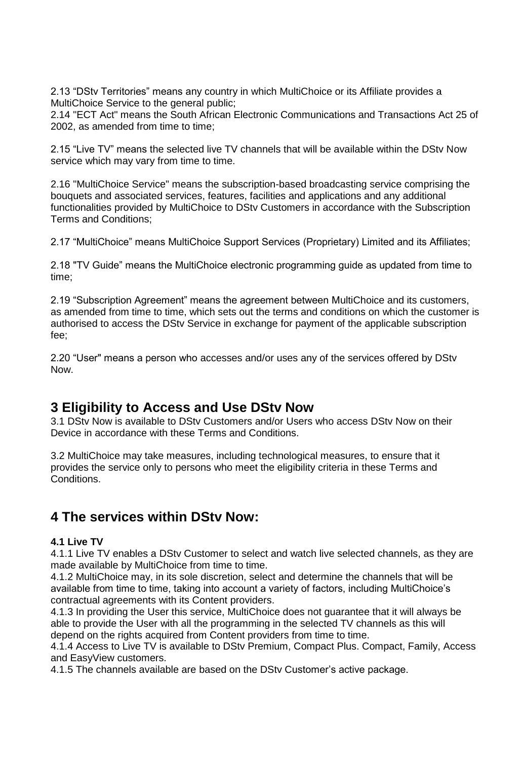2.13 "DStv Territories" means any country in which MultiChoice or its Affiliate provides a MultiChoice Service to the general public;

2.14 "ECT Act" means the South African Electronic Communications and Transactions Act 25 of 2002, as amended from time to time;

2.15 "Live TV" means the selected live TV channels that will be available within the DStv Now service which may vary from time to time.

2.16 "MultiChoice Service" means the subscription-based broadcasting service comprising the bouquets and associated services, features, facilities and applications and any additional functionalities provided by MultiChoice to DStv Customers in accordance with the Subscription Terms and Conditions;

2.17 "MultiChoice" means MultiChoice Support Services (Proprietary) Limited and its Affiliates;

2.18 "TV Guide" means the MultiChoice electronic programming guide as updated from time to time;

2.19 "Subscription Agreement" means the agreement between MultiChoice and its customers, as amended from time to time, which sets out the terms and conditions on which the customer is authorised to access the DStv Service in exchange for payment of the applicable subscription fee;

2.20 "User" means a person who accesses and/or uses any of the services offered by DStv Now.

### **3 Eligibility to Access and Use DStv Now**

3.1 DStv Now is available to DStv Customers and/or Users who access DStv Now on their Device in accordance with these Terms and Conditions.

3.2 MultiChoice may take measures, including technological measures, to ensure that it provides the service only to persons who meet the eligibility criteria in these Terms and Conditions.

### **4 The services within DStv Now:**

#### **4.1 Live TV**

4.1.1 Live TV enables a DStv Customer to select and watch live selected channels, as they are made available by MultiChoice from time to time.

4.1.2 MultiChoice may, in its sole discretion, select and determine the channels that will be available from time to time, taking into account a variety of factors, including MultiChoice's contractual agreements with its Content providers.

4.1.3 In providing the User this service, MultiChoice does not guarantee that it will always be able to provide the User with all the programming in the selected TV channels as this will depend on the rights acquired from Content providers from time to time.

4.1.4 Access to Live TV is available to DStv Premium, Compact Plus. Compact, Family, Access and EasyView customers.

4.1.5 The channels available are based on the DStv Customer's active package.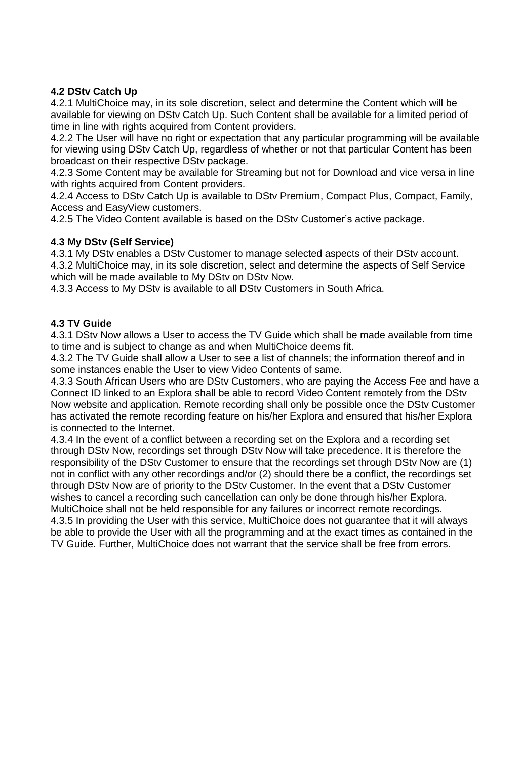#### **4.2 DStv Catch Up**

4.2.1 MultiChoice may, in its sole discretion, select and determine the Content which will be available for viewing on DStv Catch Up. Such Content shall be available for a limited period of time in line with rights acquired from Content providers.

4.2.2 The User will have no right or expectation that any particular programming will be available for viewing using DStv Catch Up, regardless of whether or not that particular Content has been broadcast on their respective DStv package.

4.2.3 Some Content may be available for Streaming but not for Download and vice versa in line with rights acquired from Content providers.

4.2.4 Access to DStv Catch Up is available to DStv Premium, Compact Plus, Compact, Family, Access and EasyView customers.

4.2.5 The Video Content available is based on the DStv Customer's active package.

#### **4.3 My DStv (Self Service)**

4.3.1 My DStv enables a DStv Customer to manage selected aspects of their DStv account. 4.3.2 MultiChoice may, in its sole discretion, select and determine the aspects of Self Service which will be made available to My DStv on DStv Now.

4.3.3 Access to My DStv is available to all DStv Customers in South Africa.

#### **4.3 TV Guide**

4.3.1 DStv Now allows a User to access the TV Guide which shall be made available from time to time and is subject to change as and when MultiChoice deems fit.

4.3.2 The TV Guide shall allow a User to see a list of channels; the information thereof and in some instances enable the User to view Video Contents of same.

4.3.3 South African Users who are DStv Customers, who are paying the Access Fee and have a Connect ID linked to an Explora shall be able to record Video Content remotely from the DStv Now website and application. Remote recording shall only be possible once the DStv Customer has activated the remote recording feature on his/her Explora and ensured that his/her Explora is connected to the Internet.

4.3.4 In the event of a conflict between a recording set on the Explora and a recording set through DStv Now, recordings set through DStv Now will take precedence. It is therefore the responsibility of the DStv Customer to ensure that the recordings set through DStv Now are (1) not in conflict with any other recordings and/or (2) should there be a conflict, the recordings set through DStv Now are of priority to the DStv Customer. In the event that a DStv Customer wishes to cancel a recording such cancellation can only be done through his/her Explora. MultiChoice shall not be held responsible for any failures or incorrect remote recordings. 4.3.5 In providing the User with this service, MultiChoice does not guarantee that it will always be able to provide the User with all the programming and at the exact times as contained in the TV Guide. Further, MultiChoice does not warrant that the service shall be free from errors.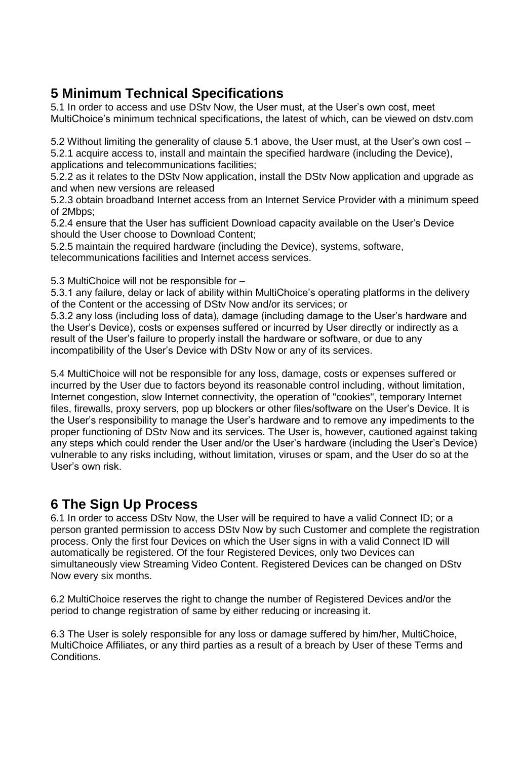# **5 Minimum Technical Specifications**

5.1 In order to access and use DStv Now, the User must, at the User's own cost, meet MultiChoice's minimum technical specifications, the latest of which, can be viewed on dstv.com

5.2 Without limiting the generality of clause 5.1 above, the User must, at the User's own cost – 5.2.1 acquire access to, install and maintain the specified hardware (including the Device),

applications and telecommunications facilities;

5.2.2 as it relates to the DStv Now application, install the DStv Now application and upgrade as and when new versions are released

5.2.3 obtain broadband Internet access from an Internet Service Provider with a minimum speed of 2Mbps;

5.2.4 ensure that the User has sufficient Download capacity available on the User's Device should the User choose to Download Content;

5.2.5 maintain the required hardware (including the Device), systems, software, telecommunications facilities and Internet access services.

5.3 MultiChoice will not be responsible for –

5.3.1 any failure, delay or lack of ability within MultiChoice's operating platforms in the delivery of the Content or the accessing of DStv Now and/or its services; or

5.3.2 any loss (including loss of data), damage (including damage to the User's hardware and the User's Device), costs or expenses suffered or incurred by User directly or indirectly as a result of the User's failure to properly install the hardware or software, or due to any incompatibility of the User's Device with DStv Now or any of its services.

5.4 MultiChoice will not be responsible for any loss, damage, costs or expenses suffered or incurred by the User due to factors beyond its reasonable control including, without limitation, Internet congestion, slow Internet connectivity, the operation of "cookies", temporary Internet files, firewalls, proxy servers, pop up blockers or other files/software on the User's Device. It is the User's responsibility to manage the User's hardware and to remove any impediments to the proper functioning of DStv Now and its services. The User is, however, cautioned against taking any steps which could render the User and/or the User's hardware (including the User's Device) vulnerable to any risks including, without limitation, viruses or spam, and the User do so at the User's own risk.

# **6 The Sign Up Process**

6.1 In order to access DStv Now, the User will be required to have a valid Connect ID; or a person granted permission to access DStv Now by such Customer and complete the registration process. Only the first four Devices on which the User signs in with a valid Connect ID will automatically be registered. Of the four Registered Devices, only two Devices can simultaneously view Streaming Video Content. Registered Devices can be changed on DStv Now every six months.

6.2 MultiChoice reserves the right to change the number of Registered Devices and/or the period to change registration of same by either reducing or increasing it.

6.3 The User is solely responsible for any loss or damage suffered by him/her, MultiChoice, MultiChoice Affiliates, or any third parties as a result of a breach by User of these Terms and Conditions.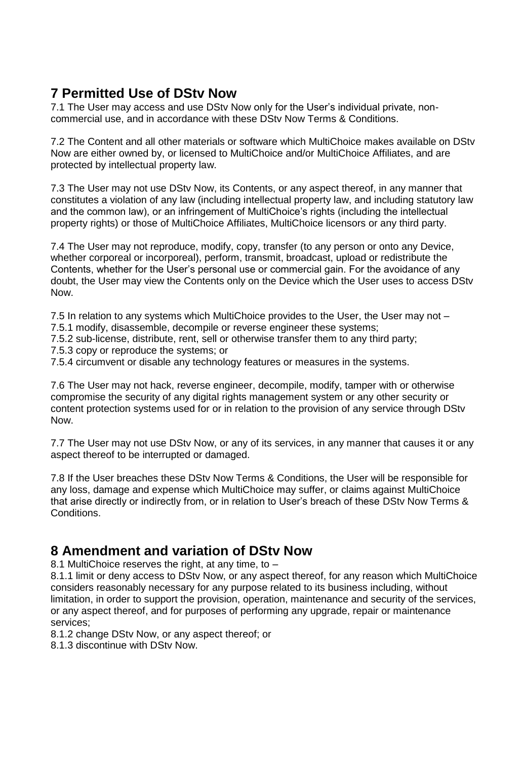# **7 Permitted Use of DStv Now**

7.1 The User may access and use DStv Now only for the User's individual private, noncommercial use, and in accordance with these DStv Now Terms & Conditions.

7.2 The Content and all other materials or software which MultiChoice makes available on DStv Now are either owned by, or licensed to MultiChoice and/or MultiChoice Affiliates, and are protected by intellectual property law.

7.3 The User may not use DStv Now, its Contents, or any aspect thereof, in any manner that constitutes a violation of any law (including intellectual property law, and including statutory law and the common law), or an infringement of MultiChoice's rights (including the intellectual property rights) or those of MultiChoice Affiliates, MultiChoice licensors or any third party.

7.4 The User may not reproduce, modify, copy, transfer (to any person or onto any Device, whether corporeal or incorporeal), perform, transmit, broadcast, upload or redistribute the Contents, whether for the User's personal use or commercial gain. For the avoidance of any doubt, the User may view the Contents only on the Device which the User uses to access DStv Now.

7.5 In relation to any systems which MultiChoice provides to the User, the User may not – 7.5.1 modify, disassemble, decompile or reverse engineer these systems;

- 7.5.2 sub-license, distribute, rent, sell or otherwise transfer them to any third party;
- 7.5.3 copy or reproduce the systems; or

7.5.4 circumvent or disable any technology features or measures in the systems.

7.6 The User may not hack, reverse engineer, decompile, modify, tamper with or otherwise compromise the security of any digital rights management system or any other security or content protection systems used for or in relation to the provision of any service through DStv Now.

7.7 The User may not use DStv Now, or any of its services, in any manner that causes it or any aspect thereof to be interrupted or damaged.

7.8 If the User breaches these DStv Now Terms & Conditions, the User will be responsible for any loss, damage and expense which MultiChoice may suffer, or claims against MultiChoice that arise directly or indirectly from, or in relation to User's breach of these DStv Now Terms & Conditions.

### **8 Amendment and variation of DStv Now**

8.1 MultiChoice reserves the right, at any time, to –

8.1.1 limit or deny access to DStv Now, or any aspect thereof, for any reason which MultiChoice considers reasonably necessary for any purpose related to its business including, without limitation, in order to support the provision, operation, maintenance and security of the services, or any aspect thereof, and for purposes of performing any upgrade, repair or maintenance services;

8.1.2 change DStv Now, or any aspect thereof; or

8.1.3 discontinue with DStv Now.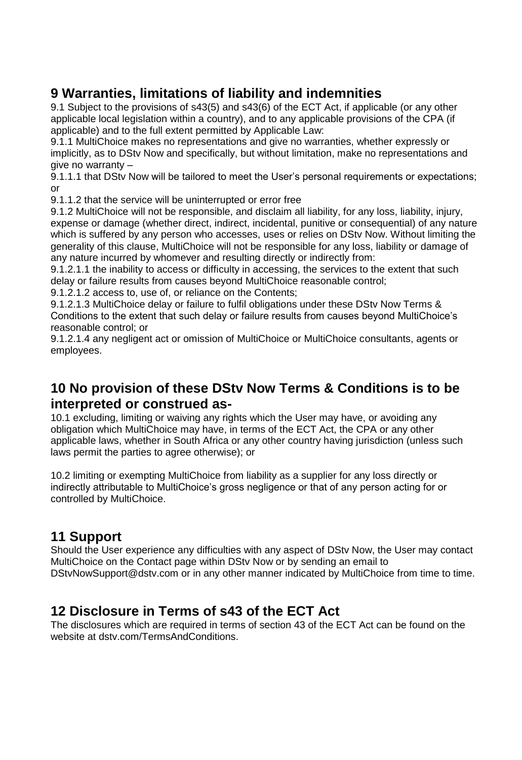# **9 Warranties, limitations of liability and indemnities**

9.1 Subject to the provisions of s43(5) and s43(6) of the ECT Act, if applicable (or any other applicable local legislation within a country), and to any applicable provisions of the CPA (if applicable) and to the full extent permitted by Applicable Law:

9.1.1 MultiChoice makes no representations and give no warranties, whether expressly or implicitly, as to DStv Now and specifically, but without limitation, make no representations and give no warranty –

9.1.1.1 that DStv Now will be tailored to meet the User's personal requirements or expectations; or

9.1.1.2 that the service will be uninterrupted or error free

9.1.2 MultiChoice will not be responsible, and disclaim all liability, for any loss, liability, injury, expense or damage (whether direct, indirect, incidental, punitive or consequential) of any nature which is suffered by any person who accesses, uses or relies on DStv Now. Without limiting the generality of this clause, MultiChoice will not be responsible for any loss, liability or damage of any nature incurred by whomever and resulting directly or indirectly from:

9.1.2.1.1 the inability to access or difficulty in accessing, the services to the extent that such delay or failure results from causes beyond MultiChoice reasonable control;

9.1.2.1.2 access to, use of, or reliance on the Contents;

9.1.2.1.3 MultiChoice delay or failure to fulfil obligations under these DStv Now Terms & Conditions to the extent that such delay or failure results from causes beyond MultiChoice's reasonable control; or

9.1.2.1.4 any negligent act or omission of MultiChoice or MultiChoice consultants, agents or employees.

## **10 No provision of these DStv Now Terms & Conditions is to be interpreted or construed as-**

10.1 excluding, limiting or waiving any rights which the User may have, or avoiding any obligation which MultiChoice may have, in terms of the ECT Act, the CPA or any other applicable laws, whether in South Africa or any other country having jurisdiction (unless such laws permit the parties to agree otherwise); or

10.2 limiting or exempting MultiChoice from liability as a supplier for any loss directly or indirectly attributable to MultiChoice's gross negligence or that of any person acting for or controlled by MultiChoice.

# **11 Support**

Should the User experience any difficulties with any aspect of DStv Now, the User may contact MultiChoice on the Contact page within DStv Now or by sending an email to DStvNowSupport@dstv.com or in any other manner indicated by MultiChoice from time to time.

# **12 Disclosure in Terms of s43 of the ECT Act**

The disclosures which are required in terms of section 43 of the ECT Act can be found on the website at dstv.com/TermsAndConditions.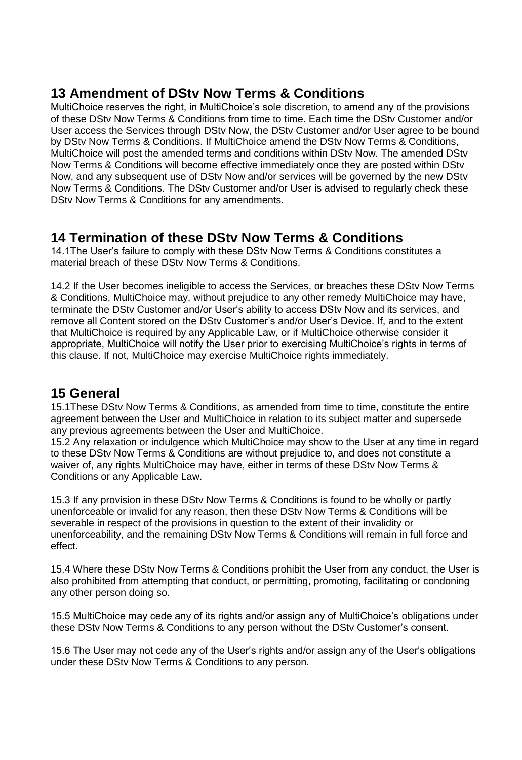## **13 Amendment of DStv Now Terms & Conditions**

MultiChoice reserves the right, in MultiChoice's sole discretion, to amend any of the provisions of these DStv Now Terms & Conditions from time to time. Each time the DStv Customer and/or User access the Services through DStv Now, the DStv Customer and/or User agree to be bound by DStv Now Terms & Conditions. If MultiChoice amend the DStv Now Terms & Conditions, MultiChoice will post the amended terms and conditions within DStv Now. The amended DStv Now Terms & Conditions will become effective immediately once they are posted within DStv Now, and any subsequent use of DStv Now and/or services will be governed by the new DStv Now Terms & Conditions. The DStv Customer and/or User is advised to regularly check these DStv Now Terms & Conditions for any amendments.

### **14 Termination of these DStv Now Terms & Conditions**

14.1The User's failure to comply with these DStv Now Terms & Conditions constitutes a material breach of these DStv Now Terms & Conditions.

14.2 If the User becomes ineligible to access the Services, or breaches these DStv Now Terms & Conditions, MultiChoice may, without prejudice to any other remedy MultiChoice may have, terminate the DStv Customer and/or User's ability to access DStv Now and its services, and remove all Content stored on the DStv Customer's and/or User's Device. If, and to the extent that MultiChoice is required by any Applicable Law, or if MultiChoice otherwise consider it appropriate, MultiChoice will notify the User prior to exercising MultiChoice's rights in terms of this clause. If not, MultiChoice may exercise MultiChoice rights immediately.

### **15 General**

15.1These DStv Now Terms & Conditions, as amended from time to time, constitute the entire agreement between the User and MultiChoice in relation to its subject matter and supersede any previous agreements between the User and MultiChoice.

15.2 Any relaxation or indulgence which MultiChoice may show to the User at any time in regard to these DStv Now Terms & Conditions are without prejudice to, and does not constitute a waiver of, any rights MultiChoice may have, either in terms of these DStv Now Terms & Conditions or any Applicable Law.

15.3 If any provision in these DStv Now Terms & Conditions is found to be wholly or partly unenforceable or invalid for any reason, then these DStv Now Terms & Conditions will be severable in respect of the provisions in question to the extent of their invalidity or unenforceability, and the remaining DStv Now Terms & Conditions will remain in full force and effect.

15.4 Where these DStv Now Terms & Conditions prohibit the User from any conduct, the User is also prohibited from attempting that conduct, or permitting, promoting, facilitating or condoning any other person doing so.

15.5 MultiChoice may cede any of its rights and/or assign any of MultiChoice's obligations under these DStv Now Terms & Conditions to any person without the DStv Customer's consent.

15.6 The User may not cede any of the User's rights and/or assign any of the User's obligations under these DStv Now Terms & Conditions to any person.